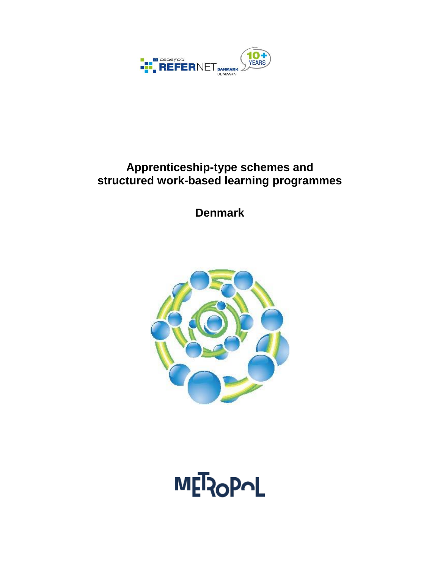

# **Apprenticeship-type schemes and structured work-based learning programmes**

**Denmark**



**MET2OPOL**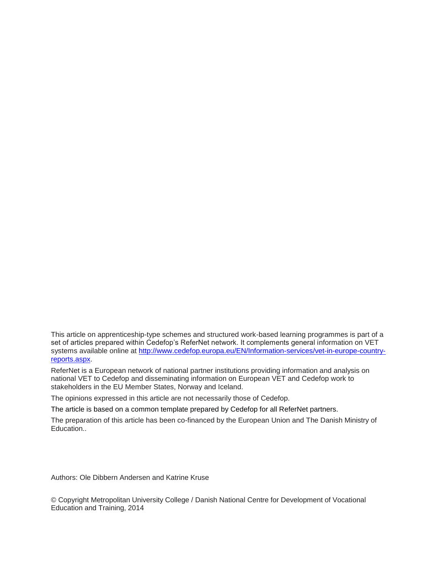This article on apprenticeship-type schemes and structured work-based learning programmes is part of a set of articles prepared within Cedefop's ReferNet network. It complements general information on VET systems available online at [http://www.cedefop.europa.eu/EN/Information-services/vet-in-europe-country](http://www.cedefop.europa.eu/EN/Information-services/vet-in-europe-country-reports.aspx)[reports.aspx.](http://www.cedefop.europa.eu/EN/Information-services/vet-in-europe-country-reports.aspx)

ReferNet is a European network of national partner institutions providing information and analysis on national VET to Cedefop and disseminating information on European VET and Cedefop work to stakeholders in the EU Member States, Norway and Iceland.

The opinions expressed in this article are not necessarily those of Cedefop.

The article is based on a common template prepared by Cedefop for all ReferNet partners.

The preparation of this article has been co-financed by the European Union and The Danish Ministry of Education..

Authors: Ole Dibbern Andersen and Katrine Kruse

© Copyright Metropolitan University College / Danish National Centre for Development of Vocational Education and Training, 2014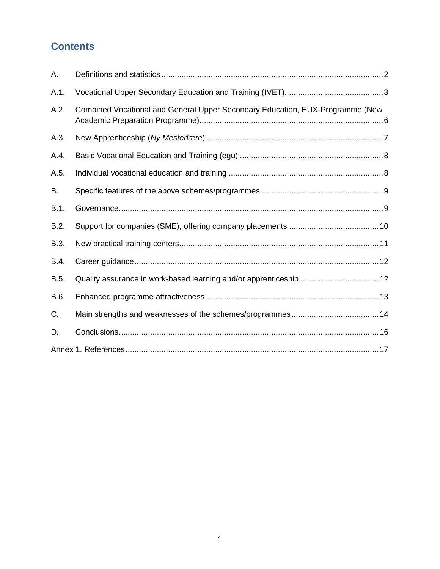## **Contents**

| А.   |                                                                               |  |
|------|-------------------------------------------------------------------------------|--|
| A.1. |                                                                               |  |
| A.2. | Combined Vocational and General Upper Secondary Education, EUX-Programme (New |  |
| A.3. |                                                                               |  |
| A.4. |                                                                               |  |
| A.5. |                                                                               |  |
| В.   |                                                                               |  |
| B.1. |                                                                               |  |
| B.2. |                                                                               |  |
| B.3. |                                                                               |  |
| B.4. |                                                                               |  |
| B.5. | Quality assurance in work-based learning and/or apprenticeship 12             |  |
| B.6. |                                                                               |  |
| C.   |                                                                               |  |
| D.   |                                                                               |  |
|      |                                                                               |  |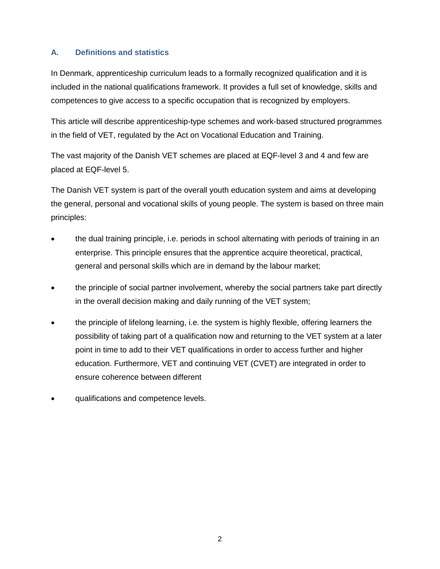## <span id="page-3-0"></span>**A. Definitions and statistics**

In Denmark, apprenticeship curriculum leads to a formally recognized qualification and it is included in the national qualifications framework. It provides a full set of knowledge, skills and competences to give access to a specific occupation that is recognized by employers.

This article will describe apprenticeship-type schemes and work-based structured programmes in the field of VET, regulated by the Act on Vocational Education and Training.

The vast majority of the Danish VET schemes are placed at EQF-level 3 and 4 and few are placed at EQF-level 5.

The Danish VET system is part of the overall youth education system and aims at developing the general, personal and vocational skills of young people. The system is based on three main principles:

- the dual training principle, i.e. periods in school alternating with periods of training in an enterprise. This principle ensures that the apprentice acquire theoretical, practical, general and personal skills which are in demand by the labour market;
- the principle of social partner involvement, whereby the social partners take part directly in the overall decision making and daily running of the VET system;
- the principle of lifelong learning, i.e. the system is highly flexible, offering learners the possibility of taking part of a qualification now and returning to the VET system at a later point in time to add to their VET qualifications in order to access further and higher education. Furthermore, VET and continuing VET (CVET) are integrated in order to ensure coherence between different
- qualifications and competence levels.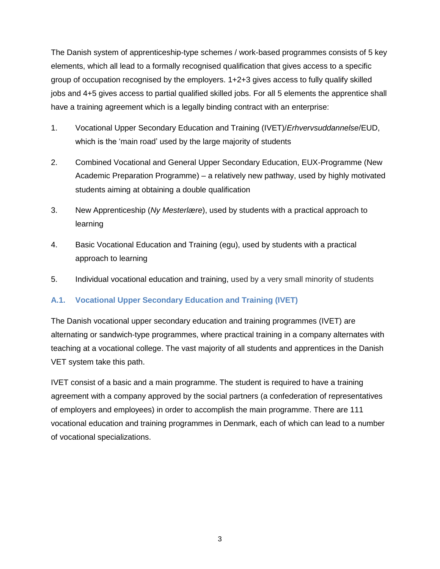The Danish system of apprenticeship-type schemes / work-based programmes consists of 5 key elements, which all lead to a formally recognised qualification that gives access to a specific group of occupation recognised by the employers. 1+2+3 gives access to fully qualify skilled jobs and 4+5 gives access to partial qualified skilled jobs. For all 5 elements the apprentice shall have a training agreement which is a legally binding contract with an enterprise:

- 1. Vocational Upper Secondary Education and Training (IVET)/*Erhvervsuddannelse*/EUD, which is the 'main road' used by the large majority of students
- 2. Combined Vocational and General Upper Secondary Education, EUX-Programme (New Academic Preparation Programme) – a relatively new pathway, used by highly motivated students aiming at obtaining a double qualification
- 3. New Apprenticeship (*Ny Mesterlære*), used by students with a practical approach to learning
- 4. Basic Vocational Education and Training (egu), used by students with a practical approach to learning
- 5. Individual vocational education and training, used by a very small minority of students

## <span id="page-4-0"></span>**A.1. Vocational Upper Secondary Education and Training (IVET)**

The Danish vocational upper secondary education and training programmes (IVET) are alternating or sandwich-type programmes, where practical training in a company alternates with teaching at a vocational college. The vast majority of all students and apprentices in the Danish VET system take this path.

IVET consist of a basic and a main programme. The student is required to have a training agreement with a company approved by the social partners (a confederation of representatives of employers and employees) in order to accomplish the main programme. There are 111 vocational education and training programmes in Denmark, each of which can lead to a number of vocational specializations.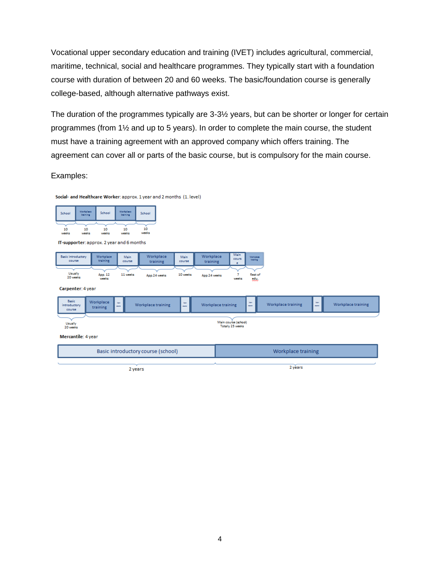Vocational upper secondary education and training (IVET) includes agricultural, commercial, maritime, technical, social and healthcare programmes. They typically start with a foundation course with duration of between 20 and 60 weeks. The basic/foundation course is generally college-based, although alternative pathways exist.

The duration of the programmes typically are 3-3½ years, but can be shorter or longer for certain programmes (from 1½ and up to 5 years). In order to complete the main course, the student must have a training agreement with an approved company which offers training. The agreement can cover all or parts of the basic course, but is compulsory for the main course.

Examples:

Social- and Healthcare Worker: approx. 1 year and 2 months (1. level)



IT-supporter: approx. 2 year and 6 months

| Basic introductory  | Workplace                        | Main     | Workplace    | Main     | Workplace    | Main             | <b>Workplace</b>          |
|---------------------|----------------------------------|----------|--------------|----------|--------------|------------------|---------------------------|
| course              | training                         | course   | training     | course   | training     | cours            | training                  |
| Usually<br>20 weeks | App. 12<br><b>MARKET COMPANY</b> | 11 weeks | App.24 weeks | 10 weeks | App.24 weeks | <b>MARGAZINE</b> | Rest of<br><b>Address</b> |

Carpenter: 4 year

| <b>Basic</b><br>introductory<br>course                          | Workplace<br>training | <b>Mate</b><br><b>CONTRACT</b>     | Workplace training | <b>Male</b><br><b>CONTRACTOR</b> |         | Workplace training | Male.<br><b>COUNTY</b> | Workplace training | Male.<br><b>CONTRACT</b> | Workplace training |  |
|-----------------------------------------------------------------|-----------------------|------------------------------------|--------------------|----------------------------------|---------|--------------------|------------------------|--------------------|--------------------------|--------------------|--|
| Main course (school)<br>Usually<br>Totally 25 weeks<br>20 weeks |                       |                                    |                    |                                  |         |                    |                        |                    |                          |                    |  |
| Mercantile: 4 year                                              |                       | Basic introductory course (school) |                    |                                  |         |                    | Workplace training     |                    |                          |                    |  |
|                                                                 |                       | 2 years                            |                    |                                  | 2 years |                    |                        |                    |                          |                    |  |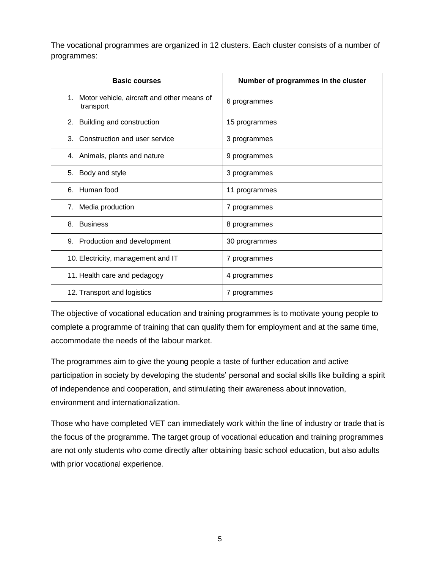The vocational programmes are organized in 12 clusters. Each cluster consists of a number of programmes:

| <b>Basic courses</b>                                       | Number of programmes in the cluster |
|------------------------------------------------------------|-------------------------------------|
| 1. Motor vehicle, aircraft and other means of<br>transport | 6 programmes                        |
| 2. Building and construction                               | 15 programmes                       |
| 3. Construction and user service                           | 3 programmes                        |
| 4. Animals, plants and nature                              | 9 programmes                        |
| 5. Body and style                                          | 3 programmes                        |
| 6. Human food                                              | 11 programmes                       |
| 7. Media production                                        | 7 programmes                        |
| <b>Business</b><br>8.                                      | 8 programmes                        |
| 9. Production and development                              | 30 programmes                       |
| 10. Electricity, management and IT                         | 7 programmes                        |
| 11. Health care and pedagogy                               | 4 programmes                        |
| 12. Transport and logistics                                | 7 programmes                        |

The objective of vocational education and training programmes is to motivate young people to complete a programme of training that can qualify them for employment and at the same time, accommodate the needs of the labour market.

The programmes aim to give the young people a taste of further education and active participation in society by developing the students' personal and social skills like building a spirit of independence and cooperation, and stimulating their awareness about innovation, environment and internationalization.

Those who have completed VET can immediately work within the line of industry or trade that is the focus of the programme. The target group of vocational education and training programmes are not only students who come directly after obtaining basic school education, but also adults with prior vocational experience.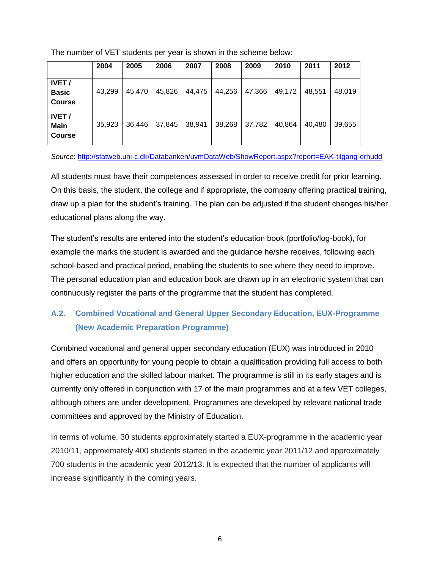The number of VET students per year is shown in the scheme below:

|                                               | 2004   | 2005   | 2006   | 2007   | 2008   | 2009   | 2010   | 2011   | 2012   |
|-----------------------------------------------|--------|--------|--------|--------|--------|--------|--------|--------|--------|
| <b>IVET/</b><br><b>Basic</b><br><b>Course</b> | 43,299 | 45.470 | 45,826 | 44,475 | 44,256 | 47,366 | 49,172 | 48.551 | 48.019 |
| <b>IVET/</b><br>Main<br><b>Course</b>         | 35,923 | 36.446 | 37,845 | 38,941 | 38,268 | 37,782 | 40,864 | 40,480 | 39,655 |

#### *Source*: <http://statweb.uni-c.dk/Databanken/uvmDataWeb/ShowReport.aspx?report=EAK-tilgang-erhudd>

All students must have their competences assessed in order to receive credit for prior learning. On this basis, the student, the college and if appropriate, the company offering practical training, draw up a plan for the student's training. The plan can be adjusted if the student changes his/her educational plans along the way.

The student's results are entered into the student's education book (portfolio/log-book), for example the marks the student is awarded and the guidance he/she receives, following each school-based and practical period, enabling the students to see where they need to improve. The personal education plan and education book are drawn up in an electronic system that can continuously register the parts of the programme that the student has completed.

## <span id="page-7-0"></span>**A.2. Combined Vocational and General Upper Secondary Education, EUX-Programme (New Academic Preparation Programme)**

Combined vocational and general upper secondary education (EUX) was introduced in 2010 and offers an opportunity for young people to obtain a qualification providing full access to both higher education and the skilled labour market. The programme is still in its early stages and is currently only offered in conjunction with 17 of the main programmes and at a few VET colleges, although others are under development. Programmes are developed by relevant national trade committees and approved by the Ministry of Education.

In terms of volume, 30 students approximately started a EUX-programme in the academic year 2010/11, approximately 400 students started in the academic year 2011/12 and approximately 700 students in the academic year 2012/13. It is expected that the number of applicants will increase significantly in the coming years.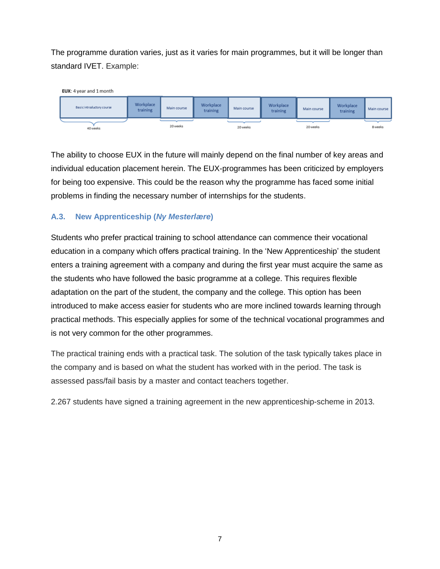The programme duration varies, just as it varies for main programmes, but it will be longer than standard IVET. Example:



The ability to choose EUX in the future will mainly depend on the final number of key areas and individual education placement herein. The EUX-programmes has been criticized by employers for being too expensive. This could be the reason why the programme has faced some initial problems in finding the necessary number of internships for the students.

## <span id="page-8-0"></span>**A.3. New Apprenticeship (***Ny Mesterlære***)**

Students who prefer practical training to school attendance can commence their vocational education in a company which offers practical training. In the 'New Apprenticeship' the student enters a training agreement with a company and during the first year must acquire the same as the students who have followed the basic programme at a college. This requires flexible adaptation on the part of the student, the company and the college. This option has been introduced to make access easier for students who are more inclined towards learning through practical methods. This especially applies for some of the technical vocational programmes and is not very common for the other programmes.

The practical training ends with a practical task. The solution of the task typically takes place in the company and is based on what the student has worked with in the period. The task is assessed pass/fail basis by a master and contact teachers together.

2.267 students have signed a training agreement in the new apprenticeship-scheme in 2013.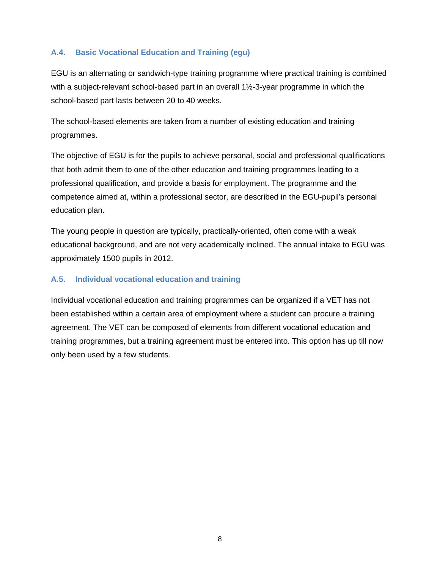## <span id="page-9-0"></span>**A.4. Basic Vocational Education and Training (egu)**

EGU is an alternating or sandwich-type training programme where practical training is combined with a subject-relevant school-based part in an overall 1½-3-year programme in which the school-based part lasts between 20 to 40 weeks.

The school-based elements are taken from a number of existing education and training programmes.

The objective of EGU is for the pupils to achieve personal, social and professional qualifications that both admit them to one of the other education and training programmes leading to a professional qualification, and provide a basis for employment. The programme and the competence aimed at, within a professional sector, are described in the EGU-pupil's personal education plan.

The young people in question are typically, practically-oriented, often come with a weak educational background, and are not very academically inclined. The annual intake to EGU was approximately 1500 pupils in 2012.

## <span id="page-9-1"></span>**A.5. Individual vocational education and training**

Individual vocational education and training programmes can be organized if a VET has not been established within a certain area of employment where a student can procure a training agreement. The VET can be composed of elements from different vocational education and training programmes, but a training agreement must be entered into. This option has up till now only been used by a few students.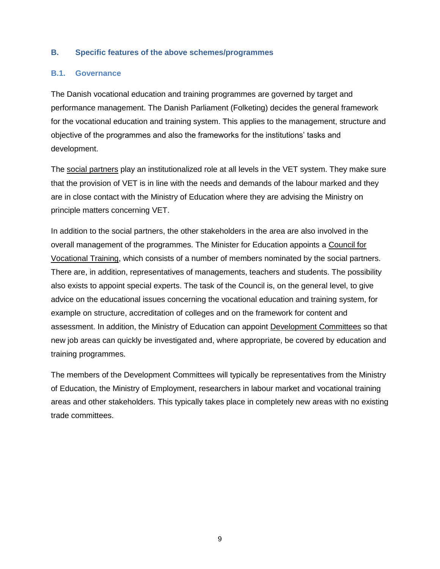#### <span id="page-10-0"></span>**B. Specific features of the above schemes/programmes**

#### <span id="page-10-1"></span>**B.1. Governance**

The Danish vocational education and training programmes are governed by target and performance management. The Danish Parliament (Folketing) decides the general framework for the vocational education and training system. This applies to the management, structure and objective of the programmes and also the frameworks for the institutions' tasks and development.

The social partners play an institutionalized role at all levels in the VET system. They make sure that the provision of VET is in line with the needs and demands of the labour marked and they are in close contact with the Ministry of Education where they are advising the Ministry on principle matters concerning VET.

In addition to the social partners, the other stakeholders in the area are also involved in the overall management of the programmes. The Minister for Education appoints a Council for Vocational Training, which consists of a number of members nominated by the social partners. There are, in addition, representatives of managements, teachers and students. The possibility also exists to appoint special experts. The task of the Council is, on the general level, to give advice on the educational issues concerning the vocational education and training system, for example on structure, accreditation of colleges and on the framework for content and assessment. In addition, the Ministry of Education can appoint Development Committees so that new job areas can quickly be investigated and, where appropriate, be covered by education and training programmes.

The members of the Development Committees will typically be representatives from the Ministry of Education, the Ministry of Employment, researchers in labour market and vocational training areas and other stakeholders. This typically takes place in completely new areas with no existing trade committees.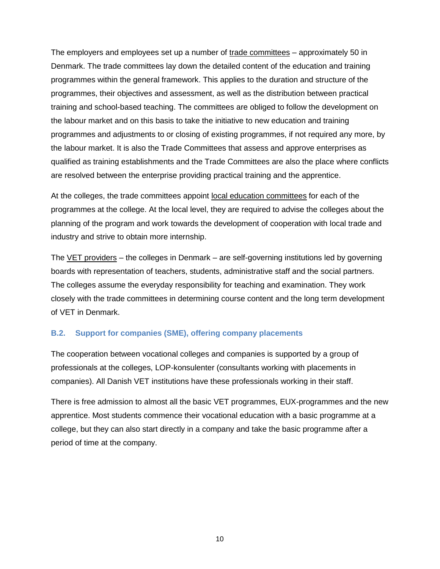The employers and employees set up a number of trade committees - approximately 50 in Denmark. The trade committees lay down the detailed content of the education and training programmes within the general framework. This applies to the duration and structure of the programmes, their objectives and assessment, as well as the distribution between practical training and school-based teaching. The committees are obliged to follow the development on the labour market and on this basis to take the initiative to new education and training programmes and adjustments to or closing of existing programmes, if not required any more, by the labour market. It is also the Trade Committees that assess and approve enterprises as qualified as training establishments and the Trade Committees are also the place where conflicts are resolved between the enterprise providing practical training and the apprentice.

At the colleges, the trade committees appoint local education committees for each of the programmes at the college. At the local level, they are required to advise the colleges about the planning of the program and work towards the development of cooperation with local trade and industry and strive to obtain more internship.

The VET providers – the colleges in Denmark – are self-governing institutions led by governing boards with representation of teachers, students, administrative staff and the social partners. The colleges assume the everyday responsibility for teaching and examination. They work closely with the trade committees in determining course content and the long term development of VET in Denmark.

#### <span id="page-11-0"></span>**B.2. Support for companies (SME), offering company placements**

The cooperation between vocational colleges and companies is supported by a group of professionals at the colleges, LOP-konsulenter (consultants working with placements in companies). All Danish VET institutions have these professionals working in their staff.

There is free admission to almost all the basic VET programmes, EUX-programmes and the new apprentice. Most students commence their vocational education with a basic programme at a college, but they can also start directly in a company and take the basic programme after a period of time at the company.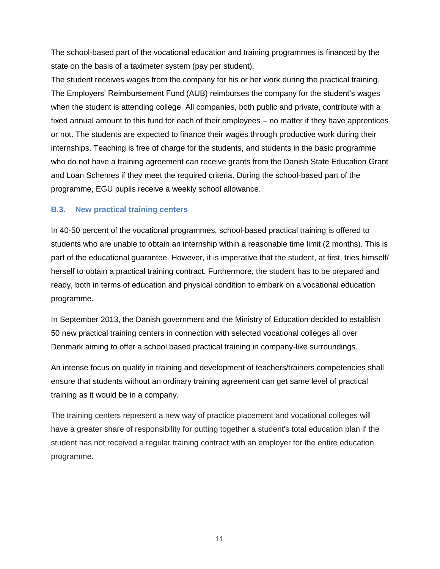The school-based part of the vocational education and training programmes is financed by the state on the basis of a taximeter system (pay per student).

The student receives wages from the company for his or her work during the practical training. The Employers' Reimbursement Fund (AUB) reimburses the company for the student's wages when the student is attending college. All companies, both public and private, contribute with a fixed annual amount to this fund for each of their employees – no matter if they have apprentices or not. The students are expected to finance their wages through productive work during their internships. Teaching is free of charge for the students, and students in the basic programme who do not have a training agreement can receive grants from the Danish State Education Grant and Loan Schemes if they meet the required criteria. During the school-based part of the programme, EGU pupils receive a weekly school allowance.

#### <span id="page-12-0"></span>**B.3. New practical training centers**

In 40-50 percent of the vocational programmes, school-based practical training is offered to students who are unable to obtain an internship within a reasonable time limit (2 months). This is part of the educational guarantee. However, it is imperative that the student, at first, tries himself/ herself to obtain a practical training contract. Furthermore, the student has to be prepared and ready, both in terms of education and physical condition to embark on a vocational education programme.

In September 2013, the Danish government and the Ministry of Education decided to establish 50 new practical training centers in connection with selected vocational colleges all over Denmark aiming to offer a school based practical training in company-like surroundings.

An intense focus on quality in training and development of teachers/trainers competencies shall ensure that students without an ordinary training agreement can get same level of practical training as it would be in a company.

The training centers represent a new way of practice placement and vocational colleges will have a greater share of responsibility for putting together a student's total education plan if the student has not received a regular training contract with an employer for the entire education programme.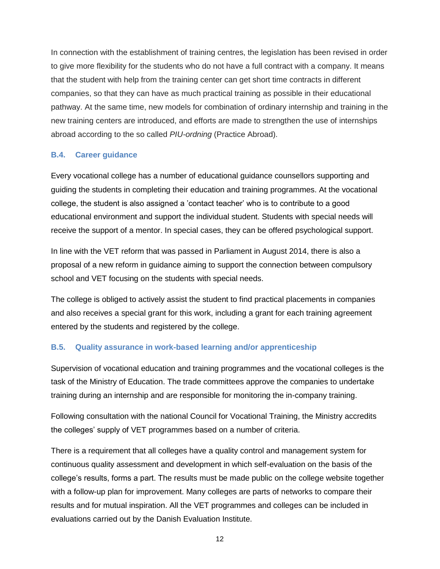In connection with the establishment of training centres, the legislation has been revised in order to give more flexibility for the students who do not have a full contract with a company. It means that the student with help from the training center can get short time contracts in different companies, so that they can have as much practical training as possible in their educational pathway. At the same time, new models for combination of ordinary internship and training in the new training centers are introduced, and efforts are made to strengthen the use of internships abroad according to the so called *PIU-ordning* (Practice Abroad).

## <span id="page-13-0"></span>**B.4. Career guidance**

Every vocational college has a number of educational guidance counsellors supporting and guiding the students in completing their education and training programmes. At the vocational college, the student is also assigned a 'contact teacher' who is to contribute to a good educational environment and support the individual student. Students with special needs will receive the support of a mentor. In special cases, they can be offered psychological support.

In line with the VET reform that was passed in Parliament in August 2014, there is also a proposal of a new reform in guidance aiming to support the connection between compulsory school and VET focusing on the students with special needs.

The college is obliged to actively assist the student to find practical placements in companies and also receives a special grant for this work, including a grant for each training agreement entered by the students and registered by the college.

## <span id="page-13-1"></span>**B.5. Quality assurance in work-based learning and/or apprenticeship**

Supervision of vocational education and training programmes and the vocational colleges is the task of the Ministry of Education. The trade committees approve the companies to undertake training during an internship and are responsible for monitoring the in-company training.

Following consultation with the national Council for Vocational Training, the Ministry accredits the colleges' supply of VET programmes based on a number of criteria.

There is a requirement that all colleges have a quality control and management system for continuous quality assessment and development in which self-evaluation on the basis of the college's results, forms a part. The results must be made public on the college website together with a follow-up plan for improvement. Many colleges are parts of networks to compare their results and for mutual inspiration. All the VET programmes and colleges can be included in evaluations carried out by the Danish Evaluation Institute.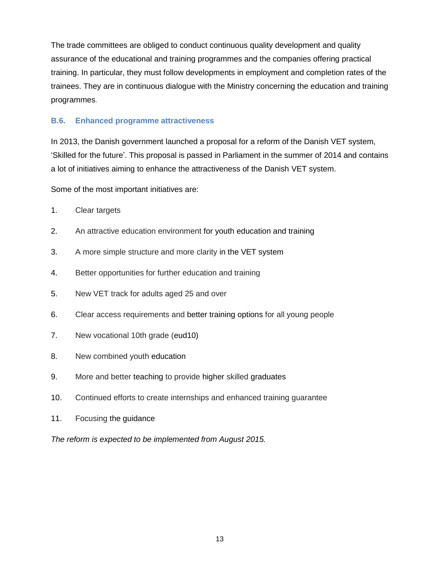The trade committees are obliged to conduct continuous quality development and quality assurance of the educational and training programmes and the companies offering practical training. In particular, they must follow developments in employment and completion rates of the trainees. They are in continuous dialogue with the Ministry concerning the education and training programmes.

## <span id="page-14-0"></span>**B.6. Enhanced programme attractiveness**

In 2013, the Danish government launched a proposal for a reform of the Danish VET system, 'Skilled for the future'. This proposal is passed in Parliament in the summer of 2014 and contains a lot of initiatives aiming to enhance the attractiveness of the Danish VET system.

Some of the most important initiatives are:

- 1. Clear targets
- 2. An attractive education environment for youth education and training
- 3. A more simple structure and more clarity in the VET system
- 4. Better opportunities for further education and training
- 5. New VET track for adults aged 25 and over
- 6. Clear access requirements and better training options for all young people
- 7. New vocational 10th grade (eud10)
- 8. New combined youth education
- 9. More and better teaching to provide higher skilled graduates
- 10. Continued efforts to create internships and enhanced training guarantee
- 11. Focusing the guidance

*The reform is expected to be implemented from August 2015.*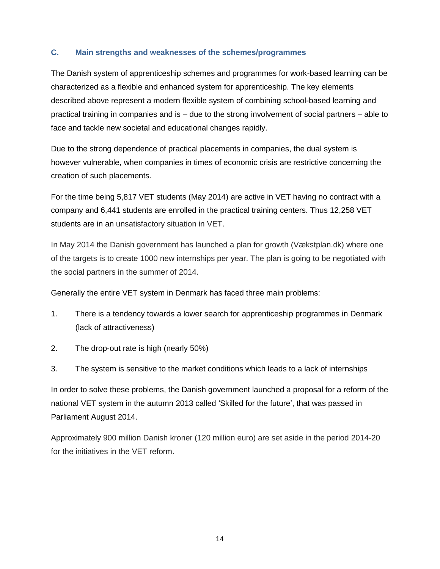#### <span id="page-15-0"></span>**C. Main strengths and weaknesses of the schemes/programmes**

The Danish system of apprenticeship schemes and programmes for work-based learning can be characterized as a flexible and enhanced system for apprenticeship. The key elements described above represent a modern flexible system of combining school-based learning and practical training in companies and is – due to the strong involvement of social partners – able to face and tackle new societal and educational changes rapidly.

Due to the strong dependence of practical placements in companies, the dual system is however vulnerable, when companies in times of economic crisis are restrictive concerning the creation of such placements.

For the time being 5,817 VET students (May 2014) are active in VET having no contract with a company and 6,441 students are enrolled in the practical training centers. Thus 12,258 VET students are in an unsatisfactory situation in VET.

In May 2014 the Danish government has launched a plan for growth (Vækstplan.dk) where one of the targets is to create 1000 new internships per year. The plan is going to be negotiated with the social partners in the summer of 2014.

Generally the entire VET system in Denmark has faced three main problems:

- 1. There is a tendency towards a lower search for apprenticeship programmes in Denmark (lack of attractiveness)
- 2. The drop-out rate is high (nearly 50%)
- 3. The system is sensitive to the market conditions which leads to a lack of internships

In order to solve these problems, the Danish government launched a proposal for a reform of the national VET system in the autumn 2013 called 'Skilled for the future', that was passed in Parliament August 2014.

Approximately 900 million Danish kroner (120 million euro) are set aside in the period 2014-20 for the initiatives in the VET reform.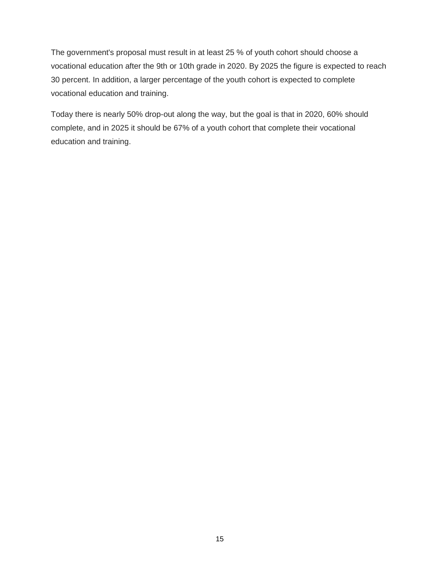The government's proposal must result in at least 25 % of youth cohort should choose a vocational education after the 9th or 10th grade in 2020. By 2025 the figure is expected to reach 30 percent. In addition, a larger percentage of the youth cohort is expected to complete vocational education and training.

Today there is nearly 50% drop-out along the way, but the goal is that in 2020, 60% should complete, and in 2025 it should be 67% of a youth cohort that complete their vocational education and training.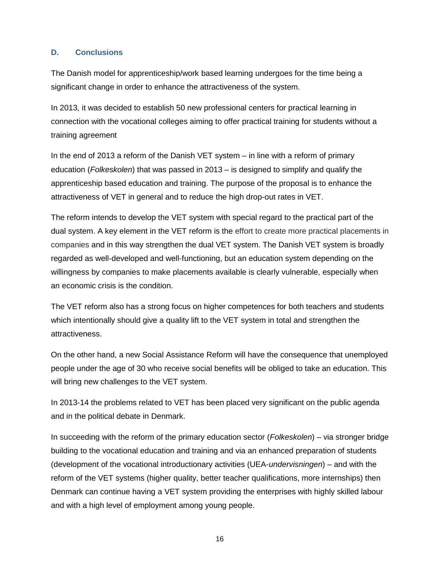## <span id="page-17-0"></span>**D. Conclusions**

The Danish model for apprenticeship/work based learning undergoes for the time being a significant change in order to enhance the attractiveness of the system.

In 2013, it was decided to establish 50 new professional centers for practical learning in connection with the vocational colleges aiming to offer practical training for students without a training agreement

In the end of 2013 a reform of the Danish VET system – in line with a reform of primary education (*Folkeskolen*) that was passed in 2013 – is designed to simplify and qualify the apprenticeship based education and training. The purpose of the proposal is to enhance the attractiveness of VET in general and to reduce the high drop-out rates in VET.

The reform intends to develop the VET system with special regard to the practical part of the dual system. A key element in the VET reform is the effort to create more practical placements in companies and in this way strengthen the dual VET system. The Danish VET system is broadly regarded as well-developed and well-functioning, but an education system depending on the willingness by companies to make placements available is clearly vulnerable, especially when an economic crisis is the condition.

The VET reform also has a strong focus on higher competences for both teachers and students which intentionally should give a quality lift to the VET system in total and strengthen the attractiveness.

On the other hand, a new Social Assistance Reform will have the consequence that unemployed people under the age of 30 who receive social benefits will be obliged to take an education. This will bring new challenges to the VET system.

In 2013-14 the problems related to VET has been placed very significant on the public agenda and in the political debate in Denmark.

In succeeding with the reform of the primary education sector (*Folkeskolen*) – via stronger bridge building to the vocational education and training and via an enhanced preparation of students (development of the vocational introductionary activities (UEA-*undervisningen*) – and with the reform of the VET systems (higher quality, better teacher qualifications, more internships) then Denmark can continue having a VET system providing the enterprises with highly skilled labour and with a high level of employment among young people.